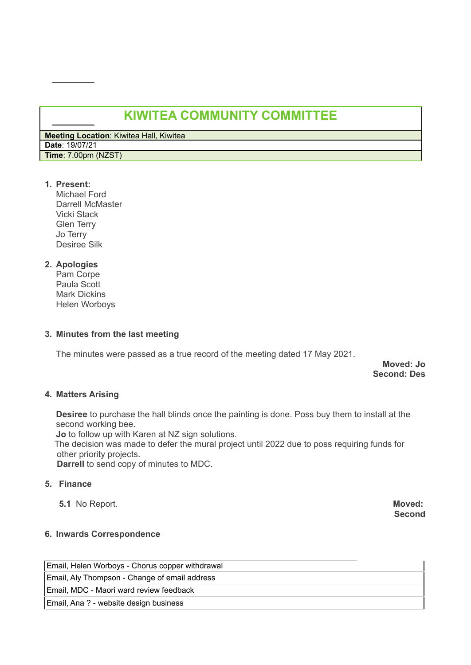# **KIWITEA COMMUNITY COMMITTEE**

**Meeting Location**: Kiwitea Hall, Kiwitea **Date**: 19/07/21 **Time**: 7.00pm (NZST)

## **1. Present:**

Michael Ford Darrell McMaster Vicki Stack Glen Terry Jo Terry Desiree Silk

# **2. Apologies**

Pam Corpe Paula Scott Mark Dickins Helen Worboys

#### **3. Minutes from the last meeting**

The minutes were passed as a true record of the meeting dated 17 May 2021.

**Moved: Jo Second: Des**

#### **4. Matters Arising**

**Desiree** to purchase the hall blinds once the painting is done. Poss buy them to install at the second working bee.

**Jo** to follow up with Karen at NZ sign solutions.

The decision was made to defer the mural project until 2022 due to poss requiring funds for other priority projects.

**Darrell** to send copy of minutes to MDC.

### **5. Finance**

**5.1** No Report. **Moved:**

**Second**

#### **6. Inwards Correspondence**

Email, Helen Worboys - Chorus copper withdrawal Email, Aly Thompson - Change of email address Email, MDC - Maori ward review feedback Email, Ana ? - website design business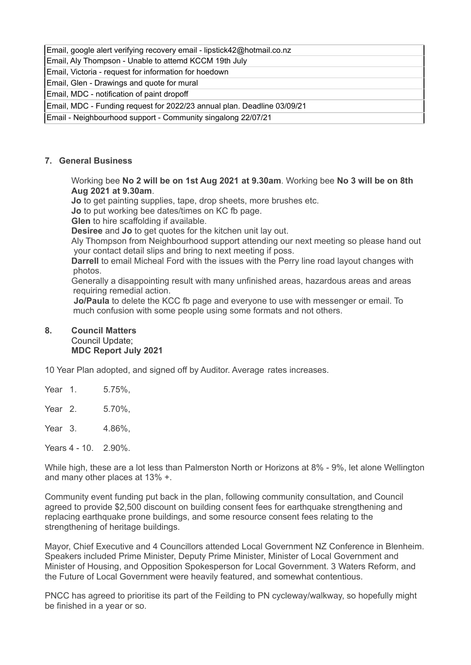#### Email, google alert verifying recovery email - lipstick42@hotmail.co.nz

Email, Aly Thompson - Unable to attemd KCCM 19th July

Email, Victoria - request for information for hoedown

Email, Glen - Drawings and quote for mural

Email, MDC - notification of paint dropoff

Email, MDC - Funding request for 2022/23 annual plan. Deadline 03/09/21

Email - Neighbourhood support - Community singalong 22/07/21

#### **7. General Business**

Working bee **No 2 will be on 1st Aug 2021 at 9.30am**. Working bee **No 3 will be on 8th Aug 2021 at 9.30am**.

**Jo** to get painting supplies, tape, drop sheets, more brushes etc.

**Jo** to put working bee dates/times on KC fb page.

**Glen** to hire scaffolding if available.

**Desiree** and **Jo** to get quotes for the kitchen unit lay out.

Aly Thompson from Neighbourhood support attending our next meeting so please hand out your contact detail slips and bring to next meeting if poss.

**Darrell** to email Micheal Ford with the issues with the Perry line road layout changes with photos.

Generally a disappointing result with many unfinished areas, hazardous areas and areas requiring remedial action.

**Jo/Paula** to delete the KCC fb page and everyone to use with messenger or email. To much confusion with some people using some formats and not others.

#### **8. Council Matters** Council Update; **MDC Report July 2021**

10 Year Plan adopted, and signed off by Auditor. Average rates increases.

Year 1. 5.75%,

Year 2. 5.70%,

Year 3. 4.86%,

Years 4 - 10. 2.90%

While high, these are a lot less than Palmerston North or Horizons at 8% - 9%, let alone Wellington and many other places at 13% +.

Community event funding put back in the plan, following community consultation, and Council agreed to provide \$2,500 discount on building consent fees for earthquake strengthening and replacing earthquake prone buildings, and some resource consent fees relating to the strengthening of heritage buildings.

Mayor, Chief Executive and 4 Councillors attended Local Government NZ Conference in Blenheim. Speakers included Prime Minister, Deputy Prime Minister, Minister of Local Government and Minister of Housing, and Opposition Spokesperson for Local Government. 3 Waters Reform, and the Future of Local Government were heavily featured, and somewhat contentious.

PNCC has agreed to prioritise its part of the Feilding to PN cycleway/walkway, so hopefully might be finished in a year or so.